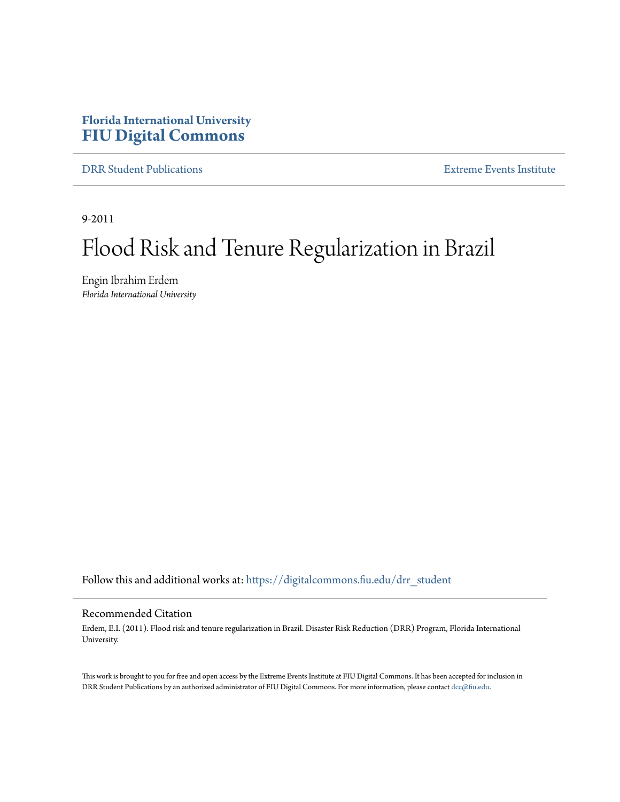# **Florida International University [FIU Digital Commons](https://digitalcommons.fiu.edu?utm_source=digitalcommons.fiu.edu%2Fdrr_student%2F5&utm_medium=PDF&utm_campaign=PDFCoverPages)**

[DRR Student Publications](https://digitalcommons.fiu.edu/drr_student?utm_source=digitalcommons.fiu.edu%2Fdrr_student%2F5&utm_medium=PDF&utm_campaign=PDFCoverPages) [Extreme Events Institute](https://digitalcommons.fiu.edu/drr?utm_source=digitalcommons.fiu.edu%2Fdrr_student%2F5&utm_medium=PDF&utm_campaign=PDFCoverPages)

9-2011

# Flood Risk and Tenure Regularization in Brazil

Engin Ibrahim Erdem *Florida International University*

Follow this and additional works at: [https://digitalcommons.fiu.edu/drr\\_student](https://digitalcommons.fiu.edu/drr_student?utm_source=digitalcommons.fiu.edu%2Fdrr_student%2F5&utm_medium=PDF&utm_campaign=PDFCoverPages)

#### Recommended Citation

Erdem, E.I. (2011). Flood risk and tenure regularization in Brazil. Disaster Risk Reduction (DRR) Program, Florida International University.

This work is brought to you for free and open access by the Extreme Events Institute at FIU Digital Commons. It has been accepted for inclusion in DRR Student Publications by an authorized administrator of FIU Digital Commons. For more information, please contact [dcc@fiu.edu](mailto:dcc@fiu.edu).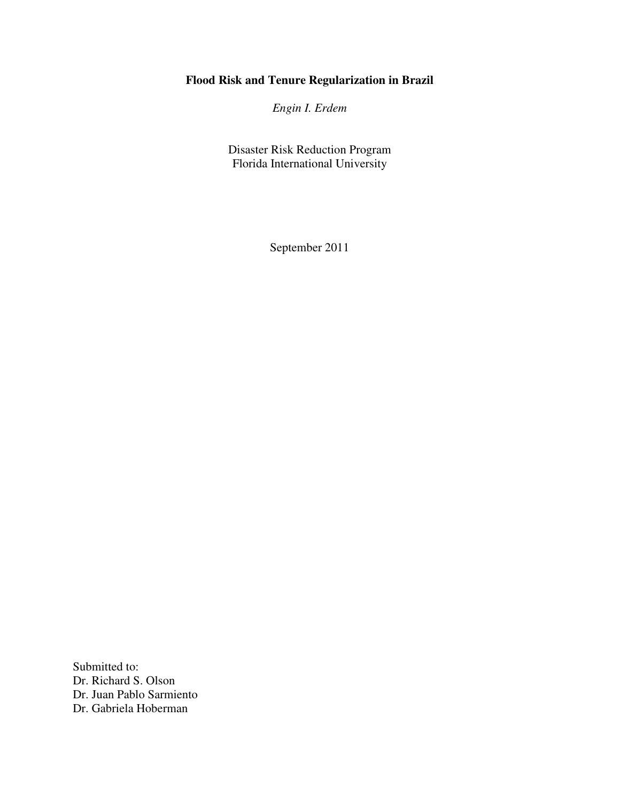# **Flood Risk and Tenure Regularization in Brazil**

*Engin I. Erdem* 

Disaster Risk Reduction Program Florida International University

September 2011

Submitted to: Dr. Richard S. Olson Dr. Juan Pablo Sarmiento Dr. Gabriela Hoberman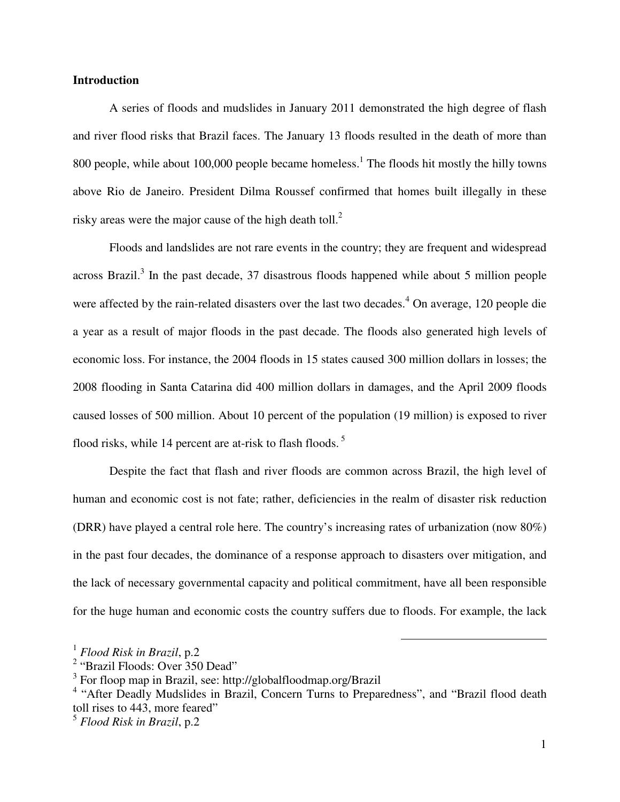#### **Introduction**

A series of floods and mudslides in January 2011 demonstrated the high degree of flash and river flood risks that Brazil faces. The January 13 floods resulted in the death of more than 800 people, while about 100,000 people became homeless.<sup>1</sup> The floods hit mostly the hilly towns above Rio de Janeiro. President Dilma Roussef confirmed that homes built illegally in these risky areas were the major cause of the high death toll. $2$ 

 Floods and landslides are not rare events in the country; they are frequent and widespread across Brazil.<sup>3</sup> In the past decade, 37 disastrous floods happened while about 5 million people were affected by the rain-related disasters over the last two decades.<sup>4</sup> On average, 120 people die a year as a result of major floods in the past decade. The floods also generated high levels of economic loss. For instance, the 2004 floods in 15 states caused 300 million dollars in losses; the 2008 flooding in Santa Catarina did 400 million dollars in damages, and the April 2009 floods caused losses of 500 million. About 10 percent of the population (19 million) is exposed to river flood risks, while 14 percent are at-risk to flash floods.<sup>5</sup>

 Despite the fact that flash and river floods are common across Brazil, the high level of human and economic cost is not fate; rather, deficiencies in the realm of disaster risk reduction (DRR) have played a central role here. The country's increasing rates of urbanization (now 80%) in the past four decades, the dominance of a response approach to disasters over mitigation, and the lack of necessary governmental capacity and political commitment, have all been responsible for the huge human and economic costs the country suffers due to floods. For example, the lack

<sup>1</sup> *Flood Risk in Brazil*, p.2

<sup>&</sup>lt;sup>2</sup> "Brazil Floods: Over 350 Dead"

<sup>&</sup>lt;sup>3</sup> For floop map in Brazil, see: http://globalfloodmap.org/Brazil

<sup>&</sup>lt;sup>4</sup> "After Deadly Mudslides in Brazil, Concern Turns to Preparedness", and "Brazil flood death toll rises to 443, more feared"

<sup>5</sup> *Flood Risk in Brazil*, p.2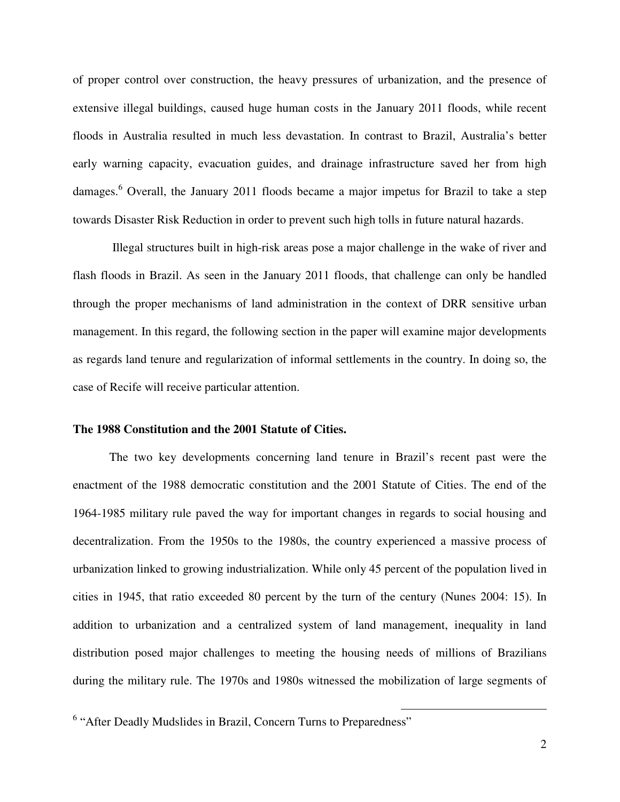of proper control over construction, the heavy pressures of urbanization, and the presence of extensive illegal buildings, caused huge human costs in the January 2011 floods, while recent floods in Australia resulted in much less devastation. In contrast to Brazil, Australia's better early warning capacity, evacuation guides, and drainage infrastructure saved her from high damages.<sup>6</sup> Overall, the January 2011 floods became a major impetus for Brazil to take a step towards Disaster Risk Reduction in order to prevent such high tolls in future natural hazards.

 Illegal structures built in high-risk areas pose a major challenge in the wake of river and flash floods in Brazil. As seen in the January 2011 floods, that challenge can only be handled through the proper mechanisms of land administration in the context of DRR sensitive urban management. In this regard, the following section in the paper will examine major developments as regards land tenure and regularization of informal settlements in the country. In doing so, the case of Recife will receive particular attention.

#### **The 1988 Constitution and the 2001 Statute of Cities.**

 The two key developments concerning land tenure in Brazil's recent past were the enactment of the 1988 democratic constitution and the 2001 Statute of Cities. The end of the 1964-1985 military rule paved the way for important changes in regards to social housing and decentralization. From the 1950s to the 1980s, the country experienced a massive process of urbanization linked to growing industrialization. While only 45 percent of the population lived in cities in 1945, that ratio exceeded 80 percent by the turn of the century (Nunes 2004: 15). In addition to urbanization and a centralized system of land management, inequality in land distribution posed major challenges to meeting the housing needs of millions of Brazilians during the military rule. The 1970s and 1980s witnessed the mobilization of large segments of

<sup>&</sup>lt;sup>6</sup> "After Deadly Mudslides in Brazil, Concern Turns to Preparedness"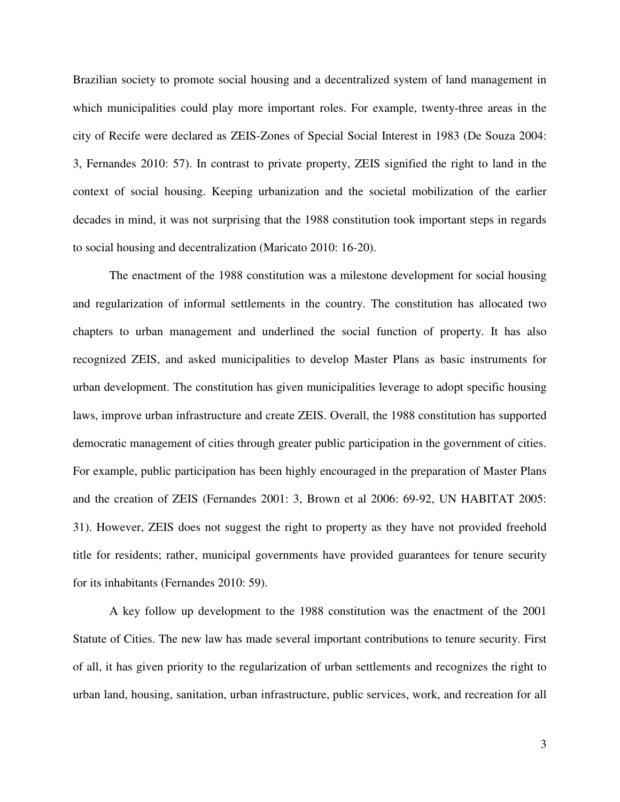Brazilian society to promote social housing and a decentralized system of land management in which municipalities could play more important roles. For example, twenty-three areas in the city of Recife were declared as ZEIS-Zones of Special Social Interest in 1983 (De Souza 2004: 3, Fernandes 2010: 57). In contrast to private property, ZEIS signified the right to land in the context of social housing. Keeping urbanization and the societal mobilization of the earlier decades in mind, it was not surprising that the 1988 constitution took important steps in regards to social housing and decentralization (Maricato 2010: 16-20).

 The enactment of the 1988 constitution was a milestone development for social housing and regularization of informal settlements in the country. The constitution has allocated two chapters to urban management and underlined the social function of property. It has also recognized ZEIS, and asked municipalities to develop Master Plans as basic instruments for urban development. The constitution has given municipalities leverage to adopt specific housing laws, improve urban infrastructure and create ZEIS. Overall, the 1988 constitution has supported democratic management of cities through greater public participation in the government of cities. For example, public participation has been highly encouraged in the preparation of Master Plans and the creation of ZEIS (Fernandes 2001: 3, Brown et al 2006: 69-92, UN HABITAT 2005: 31). However, ZEIS does not suggest the right to property as they have not provided freehold title for residents; rather, municipal governments have provided guarantees for tenure security for its inhabitants (Fernandes 2010: 59).

 A key follow up development to the 1988 constitution was the enactment of the 2001 Statute of Cities. The new law has made several important contributions to tenure security. First of all, it has given priority to the regularization of urban settlements and recognizes the right to urban land, housing, sanitation, urban infrastructure, public services, work, and recreation for all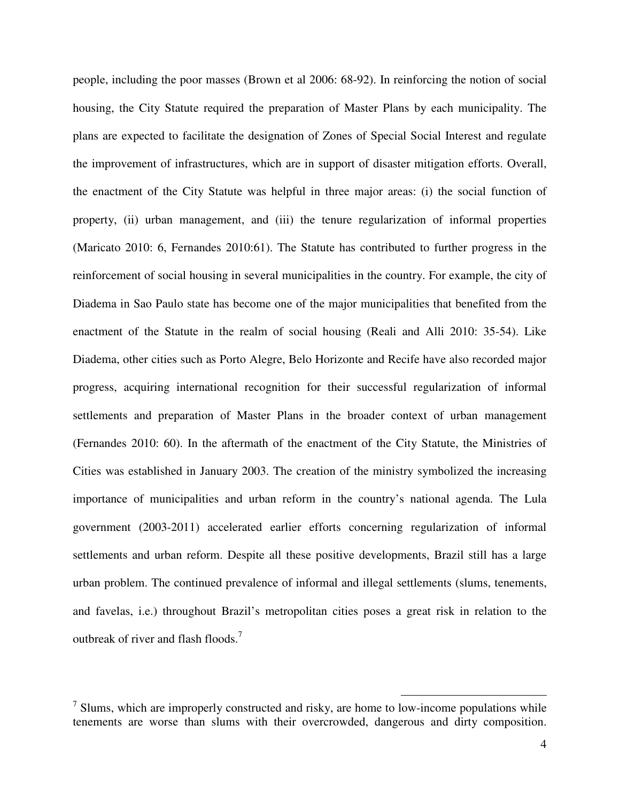people, including the poor masses (Brown et al 2006: 68-92). In reinforcing the notion of social housing, the City Statute required the preparation of Master Plans by each municipality. The plans are expected to facilitate the designation of Zones of Special Social Interest and regulate the improvement of infrastructures, which are in support of disaster mitigation efforts. Overall, the enactment of the City Statute was helpful in three major areas: (i) the social function of property, (ii) urban management, and (iii) the tenure regularization of informal properties (Maricato 2010: 6, Fernandes 2010:61). The Statute has contributed to further progress in the reinforcement of social housing in several municipalities in the country. For example, the city of Diadema in Sao Paulo state has become one of the major municipalities that benefited from the enactment of the Statute in the realm of social housing (Reali and Alli 2010: 35-54). Like Diadema, other cities such as Porto Alegre, Belo Horizonte and Recife have also recorded major progress, acquiring international recognition for their successful regularization of informal settlements and preparation of Master Plans in the broader context of urban management (Fernandes 2010: 60). In the aftermath of the enactment of the City Statute, the Ministries of Cities was established in January 2003. The creation of the ministry symbolized the increasing importance of municipalities and urban reform in the country's national agenda. The Lula government (2003-2011) accelerated earlier efforts concerning regularization of informal settlements and urban reform. Despite all these positive developments, Brazil still has a large urban problem. The continued prevalence of informal and illegal settlements (slums, tenements, and favelas, i.e.) throughout Brazil's metropolitan cities poses a great risk in relation to the outbreak of river and flash floods.<sup>7</sup>

 $<sup>7</sup>$  Slums, which are improperly constructed and risky, are home to low-income populations while</sup> tenements are worse than slums with their overcrowded, dangerous and dirty composition.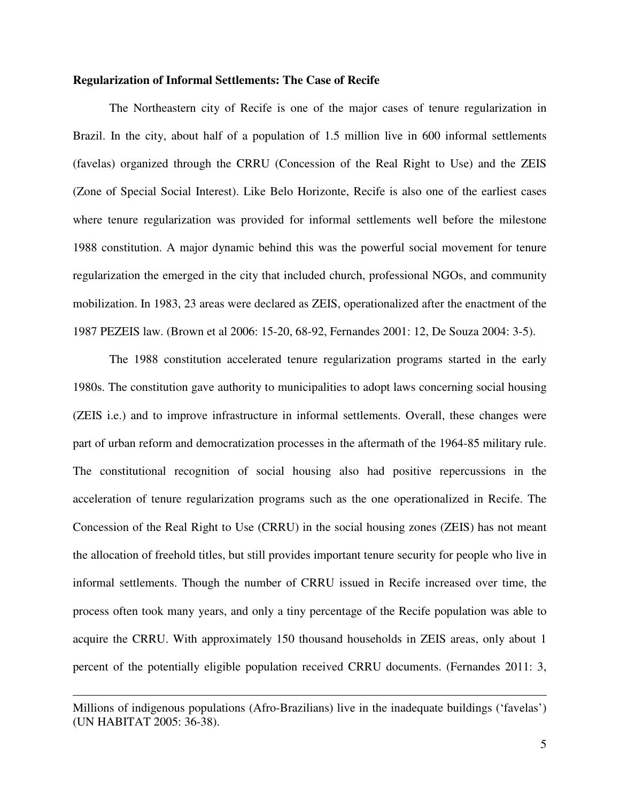#### **Regularization of Informal Settlements: The Case of Recife**

 The Northeastern city of Recife is one of the major cases of tenure regularization in Brazil. In the city, about half of a population of 1.5 million live in 600 informal settlements (favelas) organized through the CRRU (Concession of the Real Right to Use) and the ZEIS (Zone of Special Social Interest). Like Belo Horizonte, Recife is also one of the earliest cases where tenure regularization was provided for informal settlements well before the milestone 1988 constitution. A major dynamic behind this was the powerful social movement for tenure regularization the emerged in the city that included church, professional NGOs, and community mobilization. In 1983, 23 areas were declared as ZEIS, operationalized after the enactment of the 1987 PEZEIS law. (Brown et al 2006: 15-20, 68-92, Fernandes 2001: 12, De Souza 2004: 3-5).

The 1988 constitution accelerated tenure regularization programs started in the early 1980s. The constitution gave authority to municipalities to adopt laws concerning social housing (ZEIS i.e.) and to improve infrastructure in informal settlements. Overall, these changes were part of urban reform and democratization processes in the aftermath of the 1964-85 military rule. The constitutional recognition of social housing also had positive repercussions in the acceleration of tenure regularization programs such as the one operationalized in Recife. The Concession of the Real Right to Use (CRRU) in the social housing zones (ZEIS) has not meant the allocation of freehold titles, but still provides important tenure security for people who live in informal settlements. Though the number of CRRU issued in Recife increased over time, the process often took many years, and only a tiny percentage of the Recife population was able to acquire the CRRU. With approximately 150 thousand households in ZEIS areas, only about 1 percent of the potentially eligible population received CRRU documents. (Fernandes 2011: 3,

Millions of indigenous populations (Afro-Brazilians) live in the inadequate buildings ('favelas') (UN HABITAT 2005: 36-38).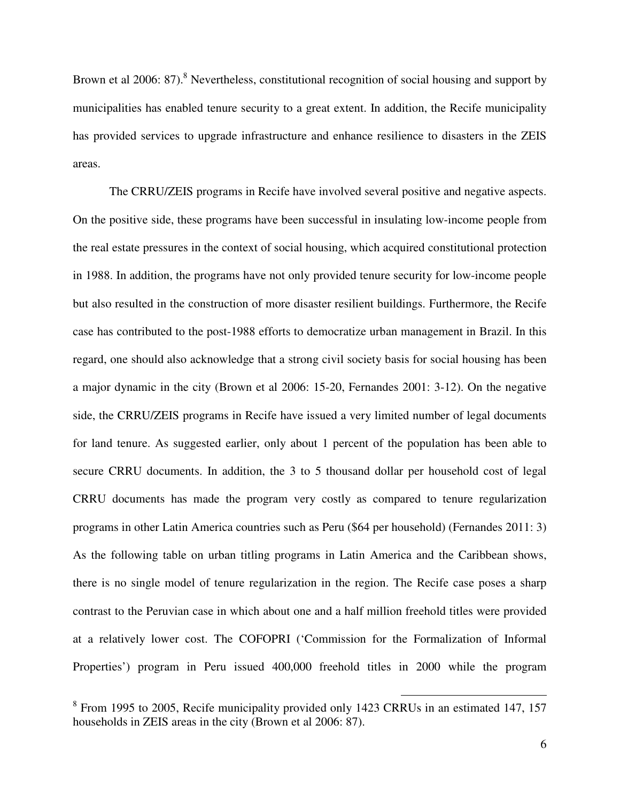Brown et al 2006: 87).<sup>8</sup> Nevertheless, constitutional recognition of social housing and support by municipalities has enabled tenure security to a great extent. In addition, the Recife municipality has provided services to upgrade infrastructure and enhance resilience to disasters in the ZEIS areas.

 The CRRU/ZEIS programs in Recife have involved several positive and negative aspects. On the positive side, these programs have been successful in insulating low-income people from the real estate pressures in the context of social housing, which acquired constitutional protection in 1988. In addition, the programs have not only provided tenure security for low-income people but also resulted in the construction of more disaster resilient buildings. Furthermore, the Recife case has contributed to the post-1988 efforts to democratize urban management in Brazil. In this regard, one should also acknowledge that a strong civil society basis for social housing has been a major dynamic in the city (Brown et al 2006: 15-20, Fernandes 2001: 3-12). On the negative side, the CRRU/ZEIS programs in Recife have issued a very limited number of legal documents for land tenure. As suggested earlier, only about 1 percent of the population has been able to secure CRRU documents. In addition, the 3 to 5 thousand dollar per household cost of legal CRRU documents has made the program very costly as compared to tenure regularization programs in other Latin America countries such as Peru (\$64 per household) (Fernandes 2011: 3) As the following table on urban titling programs in Latin America and the Caribbean shows, there is no single model of tenure regularization in the region. The Recife case poses a sharp contrast to the Peruvian case in which about one and a half million freehold titles were provided at a relatively lower cost. The COFOPRI ('Commission for the Formalization of Informal Properties') program in Peru issued 400,000 freehold titles in 2000 while the program

<sup>&</sup>lt;sup>8</sup> From 1995 to 2005, Recife municipality provided only 1423 CRRUs in an estimated 147, 157 households in ZEIS areas in the city (Brown et al 2006: 87).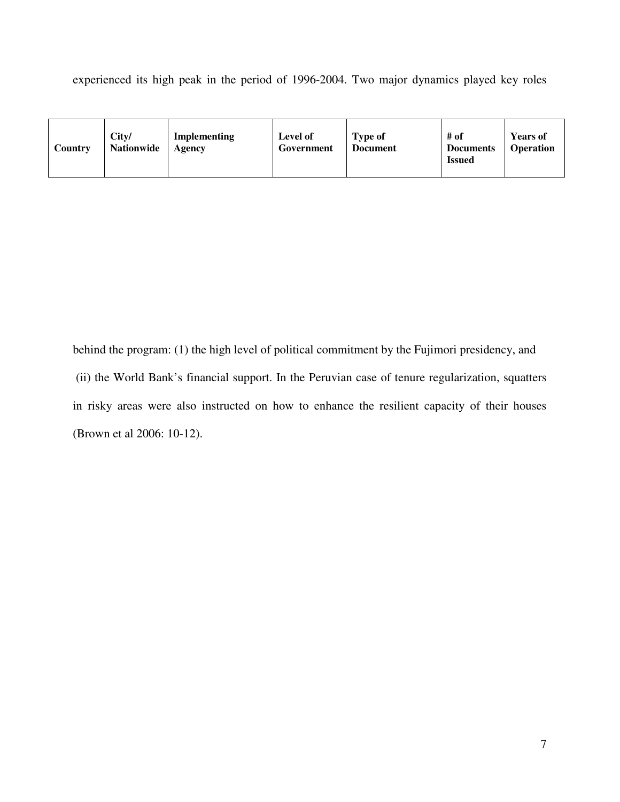experienced its high peak in the period of 1996-2004. Two major dynamics played key roles

| Country | City/<br>Nationwide | Implementing<br>Agency | Level of<br>Government | <b>Type of</b><br><b>Document</b> | # of<br><b>Documents</b><br><b>Issued</b> | <b>Years of</b><br><b>Operation</b> |
|---------|---------------------|------------------------|------------------------|-----------------------------------|-------------------------------------------|-------------------------------------|
|---------|---------------------|------------------------|------------------------|-----------------------------------|-------------------------------------------|-------------------------------------|

behind the program: (1) the high level of political commitment by the Fujimori presidency, and (ii) the World Bank's financial support. In the Peruvian case of tenure regularization, squatters in risky areas were also instructed on how to enhance the resilient capacity of their houses (Brown et al 2006: 10-12).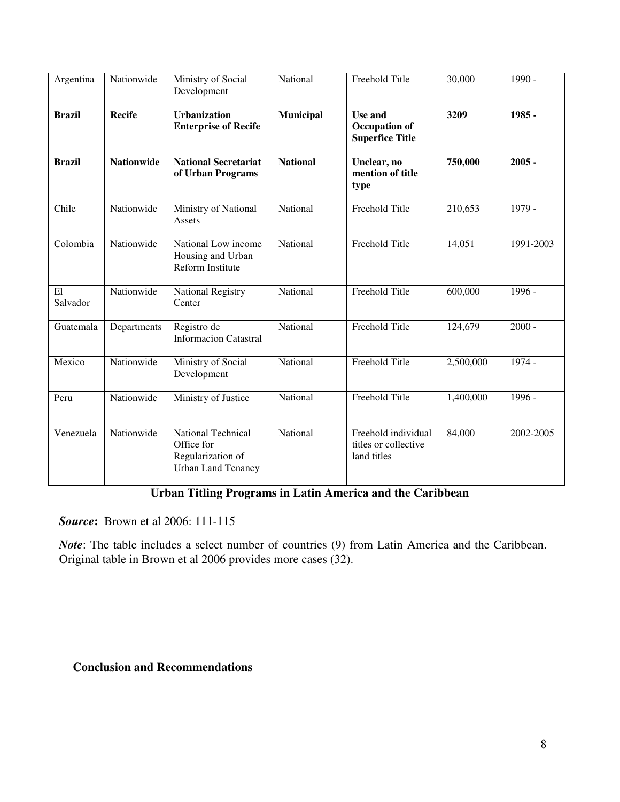| Argentina      | Nationwide        | Ministry of Social<br>Development                                                  | National        | Freehold Title                                             | 30,000    | $1990 -$  |
|----------------|-------------------|------------------------------------------------------------------------------------|-----------------|------------------------------------------------------------|-----------|-----------|
| <b>Brazil</b>  | <b>Recife</b>     | <b>Urbanization</b><br><b>Enterprise of Recife</b>                                 | Municipal       | Use and<br><b>Occupation of</b><br><b>Superfice Title</b>  | 3209      | 1985 -    |
| <b>Brazil</b>  | <b>Nationwide</b> | <b>National Secretariat</b><br>of Urban Programs                                   | <b>National</b> | Unclear, no<br>mention of title<br>type                    | 750,000   | $2005 -$  |
| Chile          | Nationwide        | Ministry of National<br>Assets                                                     | National        | Freehold Title                                             | 210,653   | 1979 -    |
| Colombia       | Nationwide        | National Low income<br>Housing and Urban<br><b>Reform Institute</b>                | National        | Freehold Title                                             | 14,051    | 1991-2003 |
| E1<br>Salvador | Nationwide        | <b>National Registry</b><br>Center                                                 | National        | Freehold Title                                             | 600,000   | 1996 -    |
| Guatemala      | Departments       | Registro de<br><b>Informacion Catastral</b>                                        | National        | Freehold Title                                             | 124,679   | $2000 -$  |
| Mexico         | Nationwide        | Ministry of Social<br>Development                                                  | National        | Freehold Title                                             | 2,500,000 | 1974 -    |
| Peru           | Nationwide        | Ministry of Justice                                                                | National        | Freehold Title                                             | 1,400,000 | 1996 -    |
| Venezuela      | Nationwide        | National Technical<br>Office for<br>Regularization of<br><b>Urban Land Tenancy</b> | National        | Freehold individual<br>titles or collective<br>land titles | 84,000    | 2002-2005 |

# **Urban Titling Programs in Latin America and the Caribbean**

*Source***:** Brown et al 2006: 111-115

*Note*: The table includes a select number of countries (9) from Latin America and the Caribbean. Original table in Brown et al 2006 provides more cases (32).

## **Conclusion and Recommendations**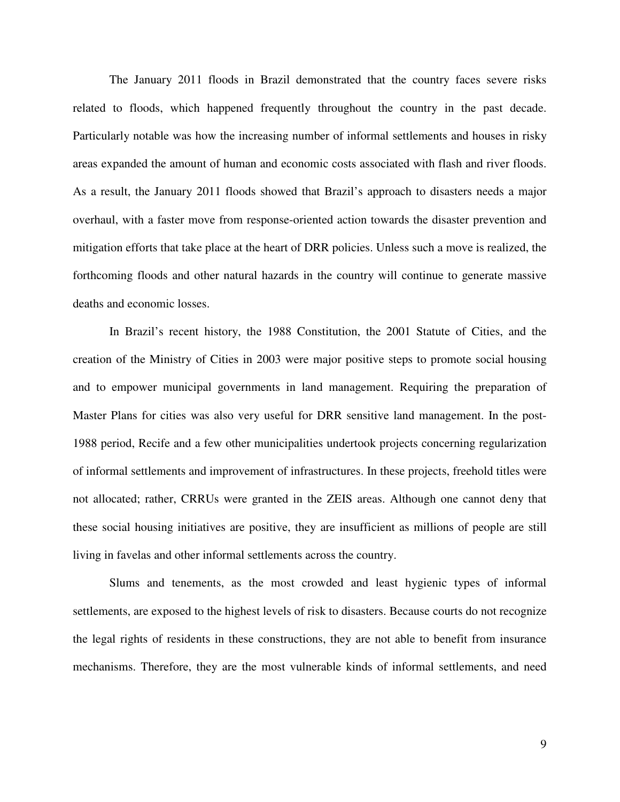The January 2011 floods in Brazil demonstrated that the country faces severe risks related to floods, which happened frequently throughout the country in the past decade. Particularly notable was how the increasing number of informal settlements and houses in risky areas expanded the amount of human and economic costs associated with flash and river floods. As a result, the January 2011 floods showed that Brazil's approach to disasters needs a major overhaul, with a faster move from response-oriented action towards the disaster prevention and mitigation efforts that take place at the heart of DRR policies. Unless such a move is realized, the forthcoming floods and other natural hazards in the country will continue to generate massive deaths and economic losses.

 In Brazil's recent history, the 1988 Constitution, the 2001 Statute of Cities, and the creation of the Ministry of Cities in 2003 were major positive steps to promote social housing and to empower municipal governments in land management. Requiring the preparation of Master Plans for cities was also very useful for DRR sensitive land management. In the post-1988 period, Recife and a few other municipalities undertook projects concerning regularization of informal settlements and improvement of infrastructures. In these projects, freehold titles were not allocated; rather, CRRUs were granted in the ZEIS areas. Although one cannot deny that these social housing initiatives are positive, they are insufficient as millions of people are still living in favelas and other informal settlements across the country.

 Slums and tenements, as the most crowded and least hygienic types of informal settlements, are exposed to the highest levels of risk to disasters. Because courts do not recognize the legal rights of residents in these constructions, they are not able to benefit from insurance mechanisms. Therefore, they are the most vulnerable kinds of informal settlements, and need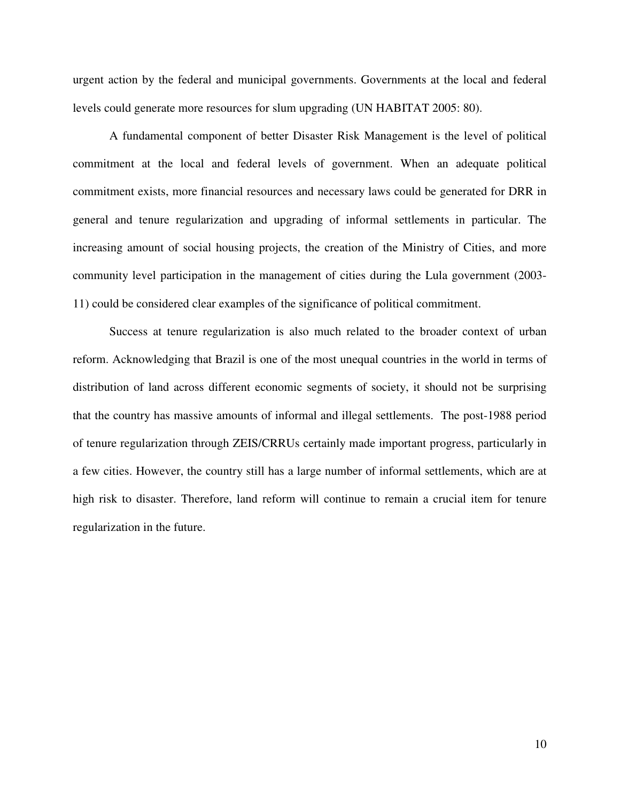urgent action by the federal and municipal governments. Governments at the local and federal levels could generate more resources for slum upgrading (UN HABITAT 2005: 80).

 A fundamental component of better Disaster Risk Management is the level of political commitment at the local and federal levels of government. When an adequate political commitment exists, more financial resources and necessary laws could be generated for DRR in general and tenure regularization and upgrading of informal settlements in particular. The increasing amount of social housing projects, the creation of the Ministry of Cities, and more community level participation in the management of cities during the Lula government (2003- 11) could be considered clear examples of the significance of political commitment.

 Success at tenure regularization is also much related to the broader context of urban reform. Acknowledging that Brazil is one of the most unequal countries in the world in terms of distribution of land across different economic segments of society, it should not be surprising that the country has massive amounts of informal and illegal settlements. The post-1988 period of tenure regularization through ZEIS/CRRUs certainly made important progress, particularly in a few cities. However, the country still has a large number of informal settlements, which are at high risk to disaster. Therefore, land reform will continue to remain a crucial item for tenure regularization in the future.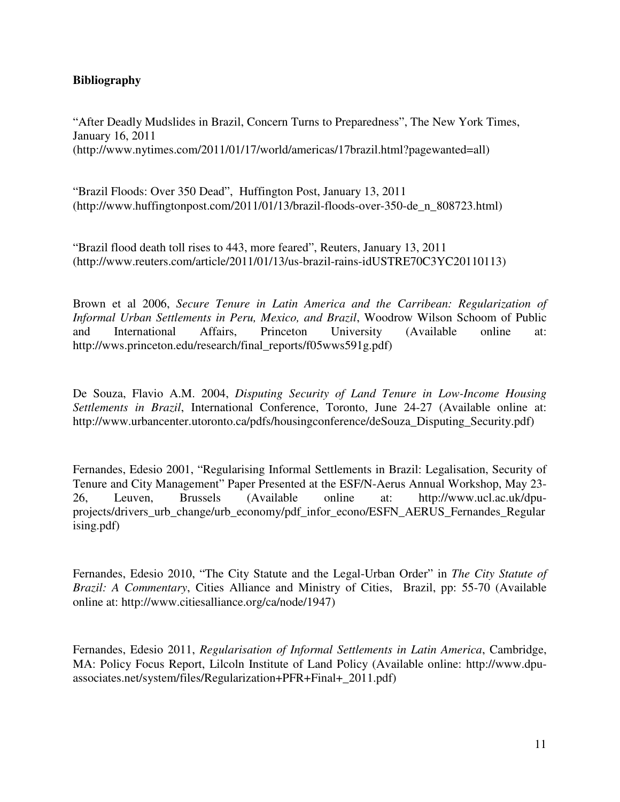## **Bibliography**

"After Deadly Mudslides in Brazil, Concern Turns to Preparedness", The New York Times, January 16, 2011 (http://www.nytimes.com/2011/01/17/world/americas/17brazil.html?pagewanted=all)

"Brazil Floods: Over 350 Dead", Huffington Post, January 13, 2011 (http://www.huffingtonpost.com/2011/01/13/brazil-floods-over-350-de\_n\_808723.html)

"Brazil flood death toll rises to 443, more feared", Reuters, January 13, 2011 (http://www.reuters.com/article/2011/01/13/us-brazil-rains-idUSTRE70C3YC20110113)

Brown et al 2006, *Secure Tenure in Latin America and the Carribean: Regularization of Informal Urban Settlements in Peru, Mexico, and Brazil*, Woodrow Wilson Schoom of Public and International Affairs, Princeton University (Available online at: http://wws.princeton.edu/research/final\_reports/f05wws591g.pdf)

De Souza, Flavio A.M. 2004, *Disputing Security of Land Tenure in Low-Income Housing Settlements in Brazil*, International Conference, Toronto, June 24-27 (Available online at: http://www.urbancenter.utoronto.ca/pdfs/housingconference/deSouza\_Disputing\_Security.pdf)

Fernandes, Edesio 2001, "Regularising Informal Settlements in Brazil: Legalisation, Security of Tenure and City Management" Paper Presented at the ESF/N-Aerus Annual Workshop, May 23- 26, Leuven, Brussels (Available online at: http://www.ucl.ac.uk/dpuprojects/drivers\_urb\_change/urb\_economy/pdf\_infor\_econo/ESFN\_AERUS\_Fernandes\_Regular ising.pdf)

Fernandes, Edesio 2010, "The City Statute and the Legal-Urban Order" in *The City Statute of Brazil: A Commentary*, Cities Alliance and Ministry of Cities, Brazil, pp: 55-70 (Available online at: http://www.citiesalliance.org/ca/node/1947)

Fernandes, Edesio 2011, *Regularisation of Informal Settlements in Latin America*, Cambridge, MA: Policy Focus Report, Lilcoln Institute of Land Policy (Available online: http://www.dpuassociates.net/system/files/Regularization+PFR+Final+\_2011.pdf)